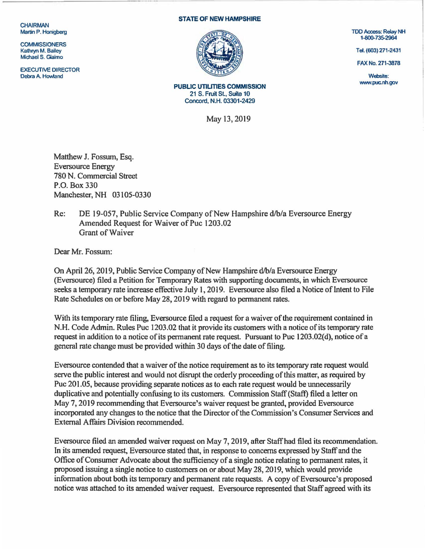**CHAIRMAN** Martin P. Honigberg

**COMMISSIONERS** Kathryn M. Bailey Michael S. Giaimo

EXECUTIVE DIRECTOR<br>Debra A. Howland Debra A. Howland Website: Website: Website: Website: Website: Website: Website: Website: Website: Website: Website: Website: Website: Website: Website: Website: Website: Website: Website: Website: Website: Website: Website

## STATE OF NEW HAMPSHIRE



PUBLIC UTILITIES COMMISSION 21 S. Fruit SL, Suite 10 Concord. N.H. 03301-2429

May 13,2019

TDD Access: Relay NH 1-800-735-2964

Tel. (603) 271-2431

FAX No. 271-3878

www.puc.nh.gov

Matthew J. Fossum, Esq. Eversource Energy 780 N. Commercial Street P.O. Box 330 Manchester, NH 03105-0330

## Re: DE 19-057, Public Service Company of New Hampshire d/b/a Eversource Energy Amended Request for Waiver of Puc 1203.02 Grant of Waiver

Dear Mr. Fossum:

On April 26, 2019, Public Service Company of New Hampshire d/b/a Eversource Energy (Eversource) filed a Petition for Temporary Rates with supporting docwnents, in which Eversource seeks a temporary rate increase effective July l, 2019. Eversource also filed a Notice of Intent to File Rate Schedules on or before May 28, 2019 with regard to permanent rates.

With its temporary rate filing, Eversource filed a request for a waiver of the requirement contained in N.H. Code Admin. Rules Puc 1203.02 that it provide its customers with a notice of its temporary rate request in addition to a notice of its permanent rate request. Pursuant to Puc 1203.02(d), notice of a general rate change must be provided within 30 days of the date of filing.

Eversource contended that a waiver of the notice requirement as to its temporary rate request would serve the public interest and would not disrupt the orderly proceeding of this matter, as required by Puc 201.05, because providing separate notices as to each rate request would be unnecessarily duplicative and potentially confusing to its customers. Commission Staff (Staff) filed a letter on May 7, 2019 recommending that Eversource's waiver request be granted, provided Eversource incorporated any changes to the notice that the Director of the Commission's Consumer Services and External Affairs Division recommended.

Eversource filed an amended waiver request on May 7, 2019, after Staffhad filed its recommendation. In its amended request, Eversource stated that, in response to concerns expressed by Staff and the Office of Conswner Advocate about the sufficiency of a single notice relating to permanent rates, it proposed issuing a single notice to customers on or about May 28, 2019, which would provide information about both its temporary and permanent rate requests. A copy of Eversource's proposed notice was attached to its amended waiver request. Eversource represented that Staff agreed with its